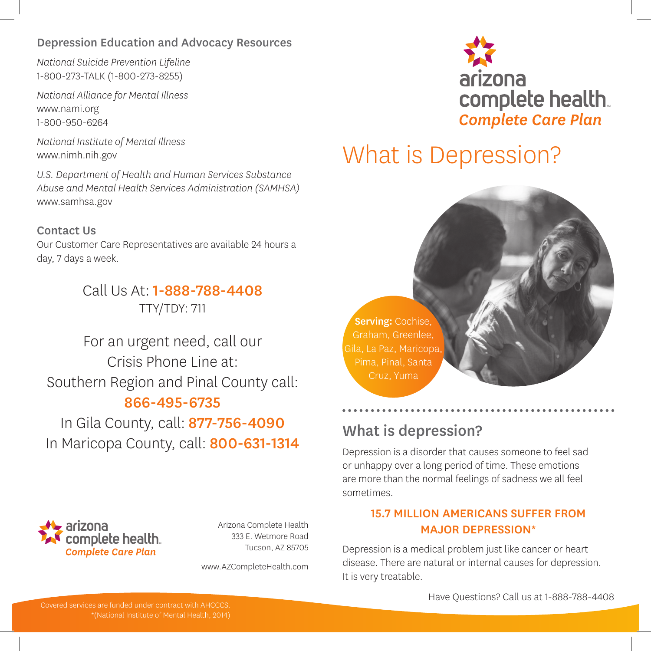### Depression Education and Advocacy Resources

*National Suicide Prevention Lifeline* 1-800-273-TALK (1-800-273-8255)

*National Alliance for Mental Illness* www.nami.org 1-800-950-6264

*National Institute of Mental Illness* www.nimh.nih.gov

*U.S. Department of Health and Human Services Substance Abuse and Mental Health Services Administration (SAMHSA)* www.samhsa.gov

### Contact Us

Our Customer Care Representatives are available 24 hours a day, 7 days a week.

> Call Us At: 1-888-788-4408 TTY/TDY: 711

For an urgent need, call our Crisis Phone Line at: Southern Region and Pinal County call: 866-495-6735

In Gila County, call: 877-756-4090 In Maricopa County, call: 800-631-1314



Arizona Complete Health 333 E. Wetmore Road Tucson, AZ 85705

www.AZCompleteHealth.com



# What is Depression?

Serving: Cochise, Graham, Greenlee, Gila, La Paz, Maricopa, Pima, Pinal, Santa

## What is depression?

Depression is a disorder that causes someone to feel sad or unhappy over a long period of time. These emotions are more than the normal feelings of sadness we all feel sometimes.

### 15.7 MILLION AMERICANS SUFFER FROM MAJOR DEPRESSION\*

Depression is a medical problem just like cancer or heart disease. There are natural or internal causes for depression. It is very treatable.

Have Questions? Call us at 1-888-788-4408